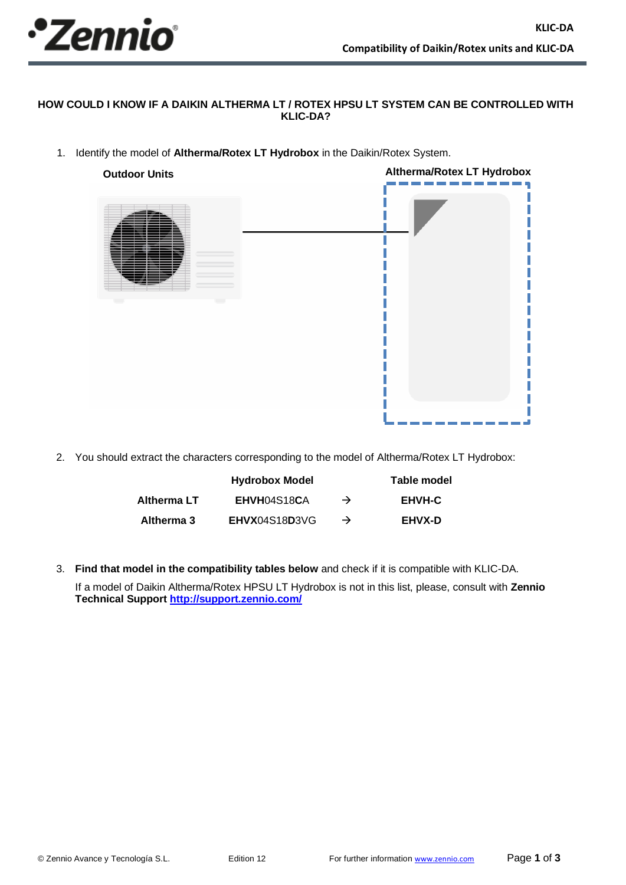

## **HOW COULD I KNOW IF A DAIKIN ALTHERMA LT / ROTEX HPSU LT SYSTEM CAN BE CONTROLLED WITH KLIC-DA?**

1. Identify the model of **Altherma/Rotex LT Hydrobox** in the Daikin/Rotex System.



2. You should extract the characters corresponding to the model of Altherma/Rotex LT Hydrobox:

|             | <b>Hydrobox Model</b> |               | Table model   |
|-------------|-----------------------|---------------|---------------|
| Altherma LT | EHVH04S18CA           | $\rightarrow$ | <b>EHVH-C</b> |
| Altherma 3  | EHVX04S18D3VG         | $\rightarrow$ | <b>EHVX-D</b> |

3. **Find that model in the compatibility tables below** and check if it is compatible with KLIC-DA.

If a model of Daikin Altherma/Rotex HPSU LT Hydrobox is not in this list, please, consult with **Zennio Technical Support<http://support.zennio.com/>**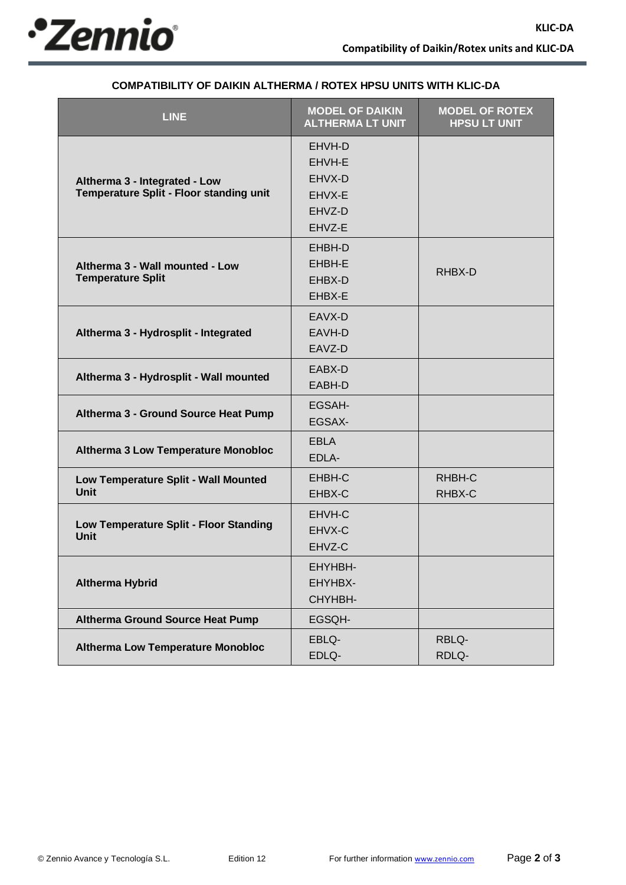

| <b>LINE</b>                                                              | <b>MODEL OF DAIKIN</b><br><b>ALTHERMA LT UNIT</b>        | <b>MODEL OF ROTEX</b><br><b>HPSU LT UNIT</b> |
|--------------------------------------------------------------------------|----------------------------------------------------------|----------------------------------------------|
| Altherma 3 - Integrated - Low<br>Temperature Split - Floor standing unit | EHVH-D<br>EHVH-E<br>EHVX-D<br>EHVX-E<br>EHVZ-D<br>EHVZ-E |                                              |
| Altherma 3 - Wall mounted - Low<br><b>Temperature Split</b>              | EHBH-D<br>EHBH-E<br>EHBX-D<br>EHBX-E                     | RHBX-D                                       |
| Altherma 3 - Hydrosplit - Integrated                                     | EAVX-D<br>EAVH-D<br>EAVZ-D                               |                                              |
| Altherma 3 - Hydrosplit - Wall mounted                                   | EABX-D<br>EABH-D                                         |                                              |
| Altherma 3 - Ground Source Heat Pump                                     | EGSAH-<br>EGSAX-                                         |                                              |
| <b>Altherma 3 Low Temperature Monobloc</b>                               | <b>EBLA</b><br>EDLA-                                     |                                              |
| Low Temperature Split - Wall Mounted<br><b>Unit</b>                      | EHBH-C<br>EHBX-C                                         | RHBH-C<br>RHBX-C                             |
| Low Temperature Split - Floor Standing<br><b>Unit</b>                    | EHVH-C<br>EHVX-C<br>EHVZ-C                               |                                              |
| <b>Altherma Hybrid</b>                                                   | EHYHBH-<br>EHYHBX-<br>CHYHBH-                            |                                              |
| <b>Altherma Ground Source Heat Pump</b>                                  | EGSQH-                                                   |                                              |
| <b>Altherma Low Temperature Monobloc</b>                                 | EBLQ-<br>EDLQ-                                           | RBLQ-<br>RDLQ-                               |

## **COMPATIBILITY OF DAIKIN ALTHERMA / ROTEX HPSU UNITS WITH KLIC-DA**